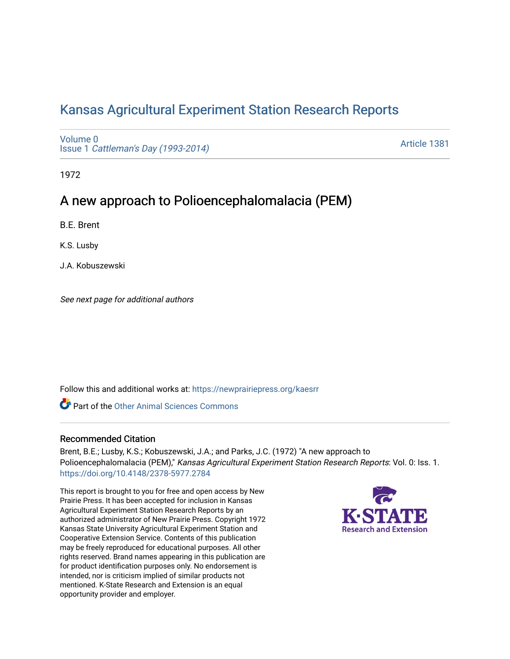# [Kansas Agricultural Experiment Station Research Reports](https://newprairiepress.org/kaesrr)

[Volume 0](https://newprairiepress.org/kaesrr/vol0) Issue 1 [Cattleman's Day \(1993-2014\)](https://newprairiepress.org/kaesrr/vol0/iss1) 

[Article 1381](https://newprairiepress.org/kaesrr/vol0/iss1/1381) 

1972

## A new approach to Polioencephalomalacia (PEM)

B.E. Brent

K.S. Lusby

J.A. Kobuszewski

See next page for additional authors

Follow this and additional works at: [https://newprairiepress.org/kaesrr](https://newprairiepress.org/kaesrr?utm_source=newprairiepress.org%2Fkaesrr%2Fvol0%2Fiss1%2F1381&utm_medium=PDF&utm_campaign=PDFCoverPages) 

**C** Part of the [Other Animal Sciences Commons](http://network.bepress.com/hgg/discipline/82?utm_source=newprairiepress.org%2Fkaesrr%2Fvol0%2Fiss1%2F1381&utm_medium=PDF&utm_campaign=PDFCoverPages)

#### Recommended Citation

Brent, B.E.; Lusby, K.S.; Kobuszewski, J.A.; and Parks, J.C. (1972) "A new approach to Polioencephalomalacia (PEM)," Kansas Agricultural Experiment Station Research Reports: Vol. 0: Iss. 1. <https://doi.org/10.4148/2378-5977.2784>

This report is brought to you for free and open access by New Prairie Press. It has been accepted for inclusion in Kansas Agricultural Experiment Station Research Reports by an authorized administrator of New Prairie Press. Copyright 1972 Kansas State University Agricultural Experiment Station and Cooperative Extension Service. Contents of this publication may be freely reproduced for educational purposes. All other rights reserved. Brand names appearing in this publication are for product identification purposes only. No endorsement is intended, nor is criticism implied of similar products not mentioned. K-State Research and Extension is an equal opportunity provider and employer.

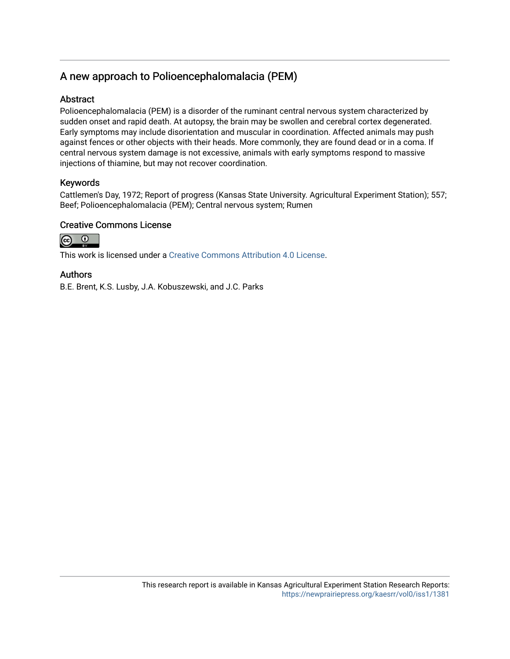## A new approach to Polioencephalomalacia (PEM)

## Abstract

Polioencephalomalacia (PEM) is a disorder of the ruminant central nervous system characterized by sudden onset and rapid death. At autopsy, the brain may be swollen and cerebral cortex degenerated. Early symptoms may include disorientation and muscular in coordination. Affected animals may push against fences or other objects with their heads. More commonly, they are found dead or in a coma. If central nervous system damage is not excessive, animals with early symptoms respond to massive injections of thiamine, but may not recover coordination.

### Keywords

Cattlemen's Day, 1972; Report of progress (Kansas State University. Agricultural Experiment Station); 557; Beef; Polioencephalomalacia (PEM); Central nervous system; Rumen

### Creative Commons License



This work is licensed under a [Creative Commons Attribution 4.0 License](https://creativecommons.org/licenses/by/4.0/).

#### Authors

B.E. Brent, K.S. Lusby, J.A. Kobuszewski, and J.C. Parks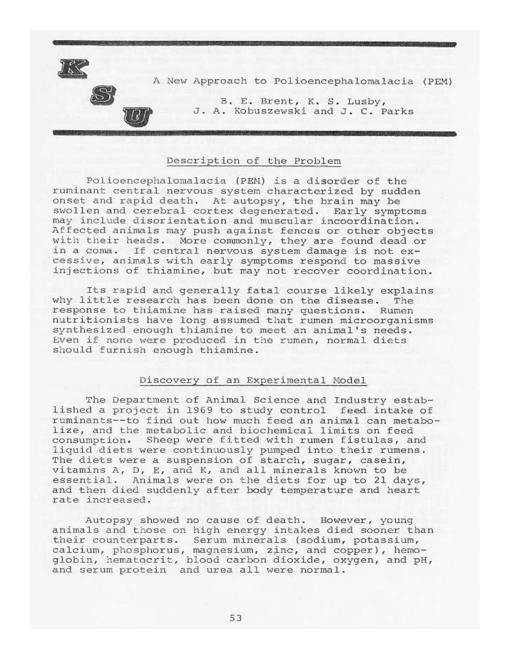

### Description of the Problem

Polioencephalomalacia (PEM) is a disorder of the ruminant central nervous system characterized by sudden onset and rapid death. At autopsy, the brain may be swollen and cerebral cortex degenerated. Early symptoms may include disorientation and muscular incoordination. Affected animals may push against fences or other objects with their heads. More commonly, they are found dead or in a coma. If central nervous system damage is not excessive, animals with early symptoms respond to massive injections of thiamine, but may not recover coordination.

Its rapid and generally fatal course likely explains why little research has been done on the disease. The response to thiamine has raised many questions. Rumen nutritionists have long assumed that rumen microorganisms synthesized enough thiamine to meet an animal's needs. Even if none were produced in the rumen, normal diets should furnish enough thiamine.

#### Discovery of an Experimental Model

The Department of Animal Science and Industry established a project in 1969 to study control feed intake of ruminants--to find out how much feed an animal can metabolize, and the metabolic and biochemical limits on feed consumption. Sheep were fitted with rumen fistulas, and liquid diets were continuously pumped into their rumens. The diets were a suspension of starch, sugar, casein, vitamins A, D, E, and K, and all minerals known to be essential. Animals were on the diets for up to 21 days, and then died suddenly after body temperature and heart rate increased.

Autopsy showed no cause of death. However, young animals and those on high energy intakes died sooner than their counterparts. Serum minerals (sodium, potassium, calcium, phosphorus, magnesium, zinc, and copper), hemoglobin, hematocrit, blood carbon dioxide, oxygen, and pH, and serum protein and urea all were normal.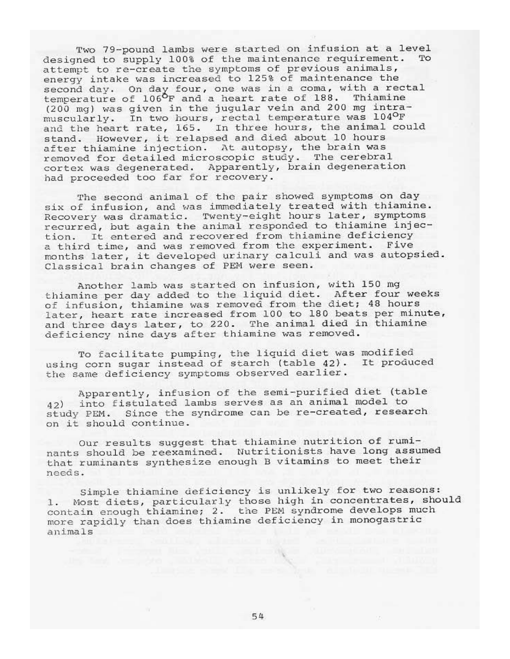Two 79-pound lambs were started on infusion at a level designed to supply 100% of the maintenance requirement. TO attempt to re-create the symptoms of previous animals, energy intake was increased to 125% of maintenance the second day. On day four, one was in a coma, with a rectal temperature of 106°F and a heart rate of 188. Thiamine (200 mg) was given in the jugular vein and 200 mg intramuscularly. In two hours, rectal temperature was 1040F<br>and the heart rate, 165. In three hours, the animal could stand. However, it relapsed and died about 10 hours after thiamine injection. At autopsy, the brain was removed for detailed microscopic study. The cerebral cortex was degenerated. Apparently, brain degeneration had proceeded too far for recovery.

The second animal of the pair showed symptoms on day six of infusion, and was immediately treated with thiamine.<br>Recovery was dramatic. Twenty-eight hours later, symptoms recurred, but again the animal responded to thiamine injection. It entered and recovered from thiamine deficiency a third time, and was removed from the experiment. Five months later, it developed urinary calculi and was autopsied. Classical brain changes of PEM were seen.

Another lamb was started on infusion, with 150 mg thiamine per day added to the liquid diet. After four weeks<br>of infusion, thiamine was removed from the diet; 48 hours later, heart rate increased from 100 to 180 beats per minute, and three days later, to 220. The animal died in thiamine deficiency nine days after thiamine was removed.

To facilitate pumping, the liquid diet was modified using corn sugar instead of starch (table 42). It produced the same deficiency symptoms observed earlier.

Apparently, infusion of the semi-purified diet (table 42) into fistulated lambs serves as an animal model to study PEM. Since the syndrome can be re-created, research on it should continue.

Our results suggest that thiamine nutrition of ruminants should be reexamined. Nutritionists have long assumed that ruminants synthesize enough B vitamins to meet their needs.

Simple thiamine deficiency is unlikely for two reasons: 1. Most diets, particularly those high in concentrates, should contain enough thiamine; 2. the PEM syndrome develops much more rapidly than does thiamine deficiency in monogastric animals